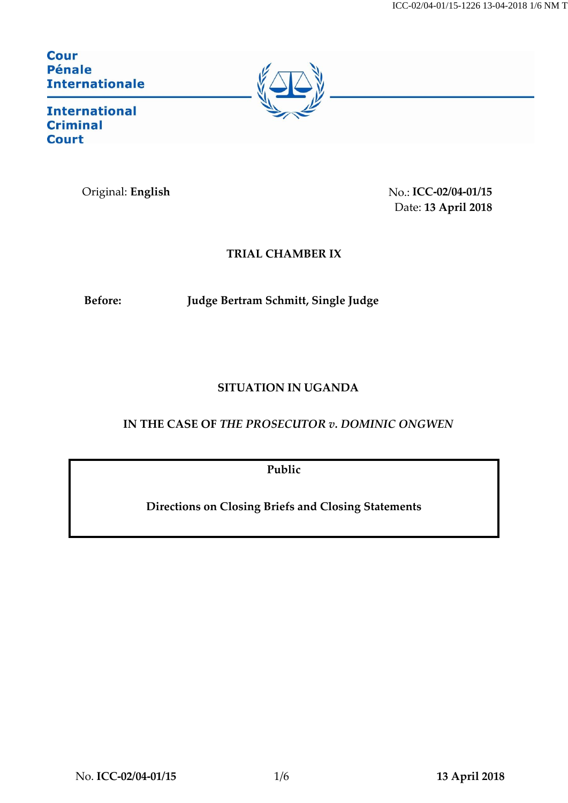ICC-02/04-01/15-1226 13-04-2018 1/6 NM T

**Cour Pénale Internationale** 



**International Criminal Court** 

Original: **English** No.: **ICC-02/04-01/15** Date: **13 April 2018**

## **TRIAL CHAMBER IX**

**Before: Judge Bertram Schmitt, Single Judge**

## **SITUATION IN UGANDA**

## **IN THE CASE OF** *THE PROSECUTOR v. DOMINIC ONGWEN*

**Public**

**Directions on Closing Briefs and Closing Statements**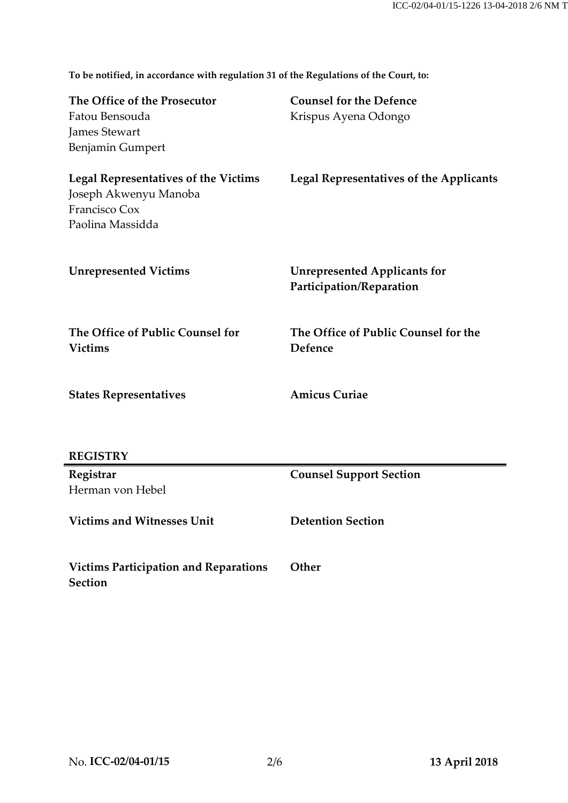**To be notified, in accordance with regulation 31 of the Regulations of the Court, to:**

| The Office of the Prosecutor                | <b>Counsel for the Defence</b>                 |
|---------------------------------------------|------------------------------------------------|
| Fatou Bensouda                              | Krispus Ayena Odongo                           |
| <b>James Stewart</b>                        |                                                |
| Benjamin Gumpert                            |                                                |
| <b>Legal Representatives of the Victims</b> | <b>Legal Representatives of the Applicants</b> |
| Joseph Akwenyu Manoba                       |                                                |
| Francisco Cox                               |                                                |
| Paolina Massidda                            |                                                |
|                                             |                                                |
| <b>Unrepresented Victims</b>                | <b>Unrepresented Applicants for</b>            |
|                                             | Participation/Reparation                       |
|                                             |                                                |
| The Office of Public Counsel for            | The Office of Public Counsel for the           |
| <b>Victims</b>                              | Defence                                        |
|                                             |                                                |
| <b>States Representatives</b>               | <b>Amicus Curiae</b>                           |
|                                             |                                                |
|                                             |                                                |
| <b>REGISTRY</b>                             |                                                |
| Registrar                                   | <b>Counsel Support Section</b>                 |
| Herman von Hebel                            |                                                |

**Victims and Witnesses Unit Detention Section**

**Victims Participation and Reparations Section Other**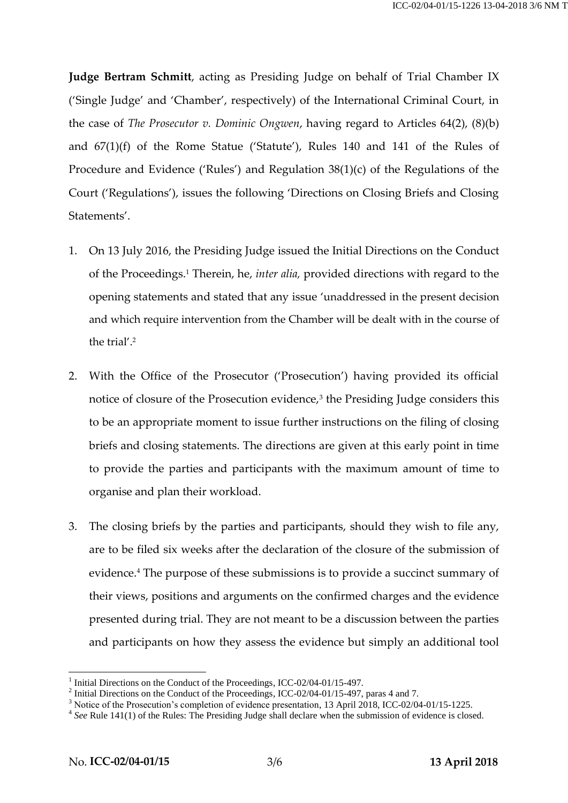**Judge Bertram Schmitt**, acting as Presiding Judge on behalf of Trial Chamber IX ('Single Judge' and 'Chamber', respectively) of the International Criminal Court, in the case of *The Prosecutor v. Dominic Ongwen*, having regard to Articles 64(2), (8)(b) and 67(1)(f) of the Rome Statue ('Statute'), Rules 140 and 141 of the Rules of Procedure and Evidence ('Rules') and Regulation 38(1)(c) of the Regulations of the Court ('Regulations'), issues the following 'Directions on Closing Briefs and Closing Statements'.

- 1. On 13 July 2016, the Presiding Judge issued the Initial Directions on the Conduct of the Proceedings.<sup>1</sup> Therein, he, *inter alia,* provided directions with regard to the opening statements and stated that any issue 'unaddressed in the present decision and which require intervention from the Chamber will be dealt with in the course of the trial'. 2
- 2. With the Office of the Prosecutor ('Prosecution') having provided its official notice of closure of the Prosecution evidence,<sup>3</sup> the Presiding Judge considers this to be an appropriate moment to issue further instructions on the filing of closing briefs and closing statements. The directions are given at this early point in time to provide the parties and participants with the maximum amount of time to organise and plan their workload.
- 3. The closing briefs by the parties and participants, should they wish to file any, are to be filed six weeks after the declaration of the closure of the submission of evidence. <sup>4</sup> The purpose of these submissions is to provide a succinct summary of their views, positions and arguments on the confirmed charges and the evidence presented during trial. They are not meant to be a discussion between the parties and participants on how they assess the evidence but simply an additional tool

<u>.</u>

<sup>1</sup> Initial Directions on the Conduct of the Proceedings, ICC-02/04-01/15-497.

<sup>&</sup>lt;sup>2</sup> Initial Directions on the Conduct of the Proceedings, ICC-02/04-01/15-497, paras 4 and 7.

<sup>&</sup>lt;sup>3</sup> Notice of the Prosecution's completion of evidence presentation, 13 April 2018, ICC-02/04-01/15-1225.

<sup>&</sup>lt;sup>4</sup> See Rule 141(1) of the Rules: The Presiding Judge shall declare when the submission of evidence is closed.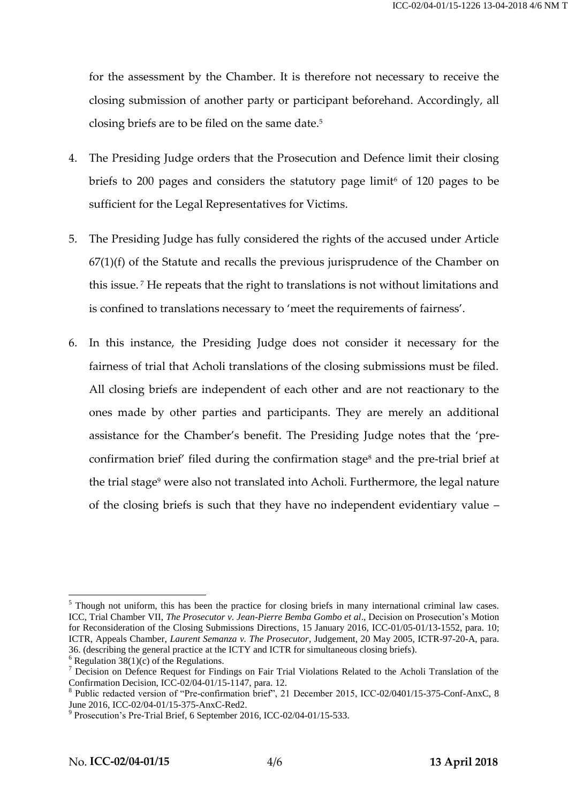for the assessment by the Chamber. It is therefore not necessary to receive the closing submission of another party or participant beforehand. Accordingly, all closing briefs are to be filed on the same date.<sup>5</sup>

- 4. The Presiding Judge orders that the Prosecution and Defence limit their closing briefs to 200 pages and considers the statutory page limit<sup>6</sup> of 120 pages to be sufficient for the Legal Representatives for Victims.
- 5. The Presiding Judge has fully considered the rights of the accused under Article 67(1)(f) of the Statute and recalls the previous jurisprudence of the Chamber on this issue. <sup>7</sup> He repeats that the right to translations is not without limitations and is confined to translations necessary to 'meet the requirements of fairness'.
- 6. In this instance, the Presiding Judge does not consider it necessary for the fairness of trial that Acholi translations of the closing submissions must be filed. All closing briefs are independent of each other and are not reactionary to the ones made by other parties and participants. They are merely an additional assistance for the Chamber's benefit. The Presiding Judge notes that the 'preconfirmation brief' filed during the confirmation stage<sup>8</sup> and the pre-trial brief at the trial stage<sup>9</sup> were also not translated into Acholi. Furthermore, the legal nature of the closing briefs is such that they have no independent evidentiary value –

<u>.</u>

<sup>&</sup>lt;sup>5</sup> Though not uniform, this has been the practice for closing briefs in many international criminal law cases. ICC, Trial Chamber VII, *The Prosecutor v. Jean-Pierre Bemba Gombo et al*., Decision on Prosecution's Motion for Reconsideration of the Closing Submissions Directions, 15 January 2016, ICC-01/05-01/13-1552, para. 10; ICTR, Appeals Chamber, *Laurent Semanza v. The Prosecutor*, Judgement, 20 May 2005, ICTR-97-20-A, para. 36. (describing the general practice at the ICTY and ICTR for simultaneous closing briefs).

 $6$  Regulation  $38(1)(c)$  of the Regulations.

<sup>7</sup> Decision on Defence Request for Findings on Fair Trial Violations Related to the Acholi Translation of the Confirmation Decision, ICC-02/04-01/15-1147, para. 12.

<sup>8</sup> Public redacted version of "Pre-confirmation brief", 21 December 2015, ICC-02/0401/15-375-Conf-AnxC, 8 June 2016, ICC-02/04-01/15-375-AnxC-Red2.

<sup>&</sup>lt;sup>9</sup> Prosecution's Pre-Trial Brief, 6 September 2016, ICC-02/04-01/15-533.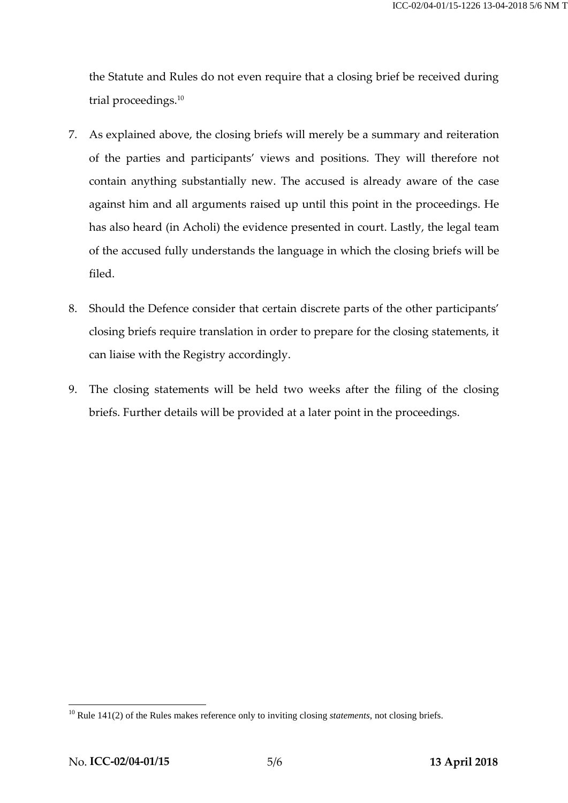the Statute and Rules do not even require that a closing brief be received during trial proceedings. 10

- 7. As explained above, the closing briefs will merely be a summary and reiteration of the parties and participants' views and positions. They will therefore not contain anything substantially new. The accused is already aware of the case against him and all arguments raised up until this point in the proceedings. He has also heard (in Acholi) the evidence presented in court. Lastly, the legal team of the accused fully understands the language in which the closing briefs will be filed.
- 8. Should the Defence consider that certain discrete parts of the other participants' closing briefs require translation in order to prepare for the closing statements, it can liaise with the Registry accordingly.
- 9. The closing statements will be held two weeks after the filing of the closing briefs. Further details will be provided at a later point in the proceedings.

1

<sup>&</sup>lt;sup>10</sup> Rule 141(2) of the Rules makes reference only to inviting closing *statements*, not closing briefs.